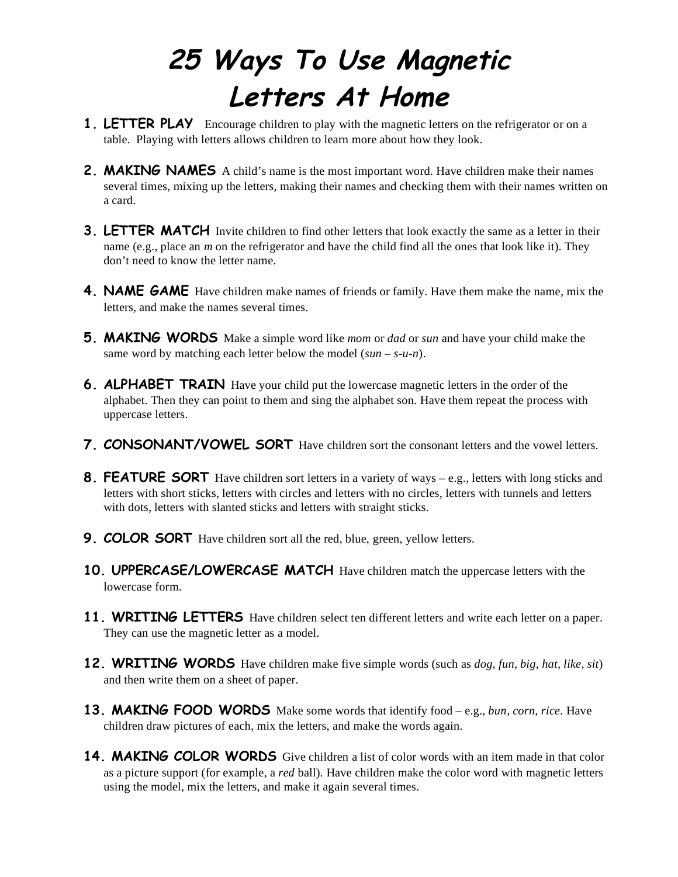## **25 Ways To Use Magnetic Letters At Home**

- **1. LETTER PLAY** Encourage children to play with the magnetic letters on the refrigerator or on a table. Playing with letters allows children to learn more about how they look.
- **2. MAKING NAMES** A child's name is the most important word. Have children make their names several times, mixing up the letters, making their names and checking them with their names written on a card.
- **3. LETTER MATCH** Invite children to find other letters that look exactly the same as a letter in their name (e.g., place an *m* on the refrigerator and have the child find all the ones that look like it). They don't need to know the letter name.
- **4. NAME GAME** Have children make names of friends or family. Have them make the name, mix the letters, and make the names several times.
- **5. MAKING WORDS** Make a simple word like *mom* or *dad* or *sun* and have your child make the same word by matching each letter below the model (*sun – s-u-n*).
- **6. ALPHABET TRAIN** Have your child put the lowercase magnetic letters in the order of the alphabet. Then they can point to them and sing the alphabet son. Have them repeat the process with uppercase letters.
- **7. CONSONANT/VOWEL SORT** Have children sort the consonant letters and the vowel letters.
- **8. FEATURE SORT** Have children sort letters in a variety of ways e.g., letters with long sticks and letters with short sticks, letters with circles and letters with no circles, letters with tunnels and letters with dots, letters with slanted sticks and letters with straight sticks.
- **9. COLOR SORT** Have children sort all the red, blue, green, yellow letters.
- **10. UPPERCASE/LOWERCASE MATCH** Have children match the uppercase letters with the lowercase form.
- **11. WRITING LETTERS** Have children select ten different letters and write each letter on a paper. They can use the magnetic letter as a model.
- **12. WRITING WORDS** Have children make five simple words (such as *dog, fun, big, hat, like, sit*) and then write them on a sheet of paper.
- **13. MAKING FOOD WORDS** Make some words that identify food e.g., *bun, corn, rice.* Have children draw pictures of each, mix the letters, and make the words again.
- **14. MAKING COLOR WORDS** Give children a list of color words with an item made in that color as a picture support (for example, a *red* ball). Have children make the color word with magnetic letters using the model, mix the letters, and make it again several times.